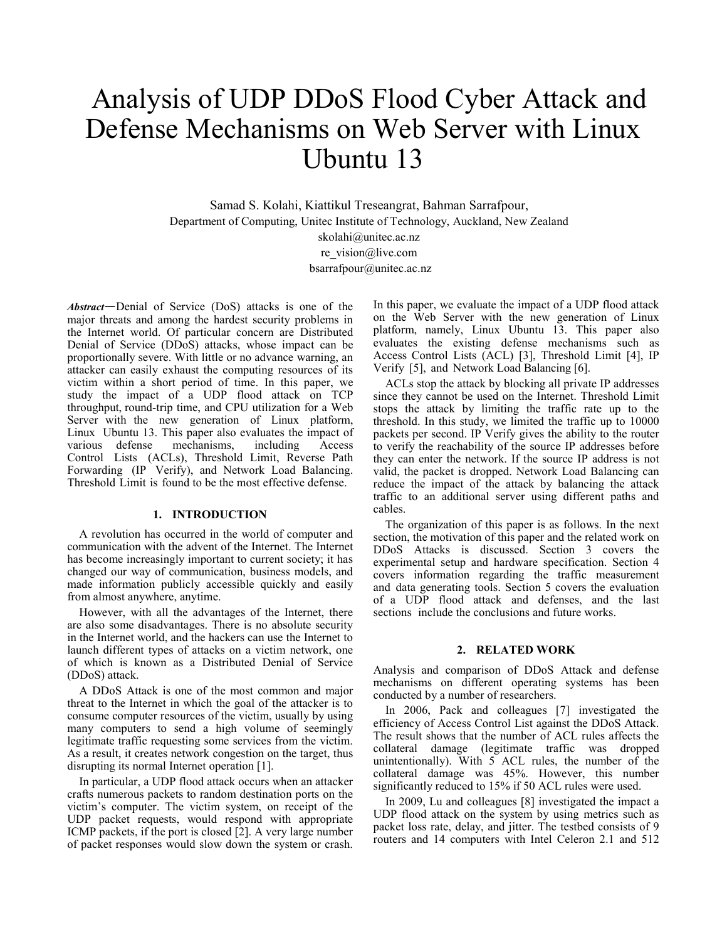# Analysis of UDP DDoS Flood Cyber Attack and Defense Mechanisms on Web Server with Linux Ubuntu 13

Samad S. Kolahi, Kiattikul Treseangrat, Bahman Sarrafpour, Department of Computing, Unitec Institute of Technology, Auckland, New Zealand skolahi@unitec.ac.nz re\_vision@live.com bsarrafpour@unitec.ac.nz

*Abstract*—Denial of Service (DoS) attacks is one of the major threats and among the hardest security problems in the Internet world. Of particular concern are Distributed Denial of Service (DDoS) attacks, whose impact can be proportionally severe. With little or no advance warning, an attacker can easily exhaust the computing resources of its victim within a short period of time. In this paper, we study the impact of a UDP flood attack on TCP throughput, round-trip time, and CPU utilization for a Web Server with the new generation of Linux platform, Linux Ubuntu 13. This paper also evaluates the impact of various defense mechanisms, including Access Control Lists (ACLs), Threshold Limit, Reverse Path Forwarding (IP Verify), and Network Load Balancing. Threshold Limit is found to be the most effective defense.

## **1. INTRODUCTION**

A revolution has occurred in the world of computer and communication with the advent of the Internet. The Internet has become increasingly important to current society; it has changed our way of communication, business models, and made information publicly accessible quickly and easily from almost anywhere, anytime.

However, with all the advantages of the Internet, there are also some disadvantages. There is no absolute security in the Internet world, and the hackers can use the Internet to launch different types of attacks on a victim network, one of which is known as a Distributed Denial of Service (DDoS) attack.

A DDoS Attack is one of the most common and major threat to the Internet in which the goal of the attacker is to consume computer resources of the victim, usually by using many computers to send a high volume of seemingly legitimate traffic requesting some services from the victim. As a result, it creates network congestion on the target, thus disrupting its normal Internet operation [1].

In particular, a UDP flood attack occurs when an attacker crafts numerous packets to random destination ports on the victim's computer. The victim system, on receipt of the UDP packet requests, would respond with appropriate ICMP packets, if the port is closed [2]. A very large number of packet responses would slow down the system or crash.

In this paper, we evaluate the impact of a UDP flood attack on the Web Server with the new generation of Linux platform, namely, Linux Ubuntu 13. This paper also evaluates the existing defense mechanisms such as Access Control Lists (ACL) [3], Threshold Limit [4], IP Verify [5], and Network Load Balancing [6].

ACLs stop the attack by blocking all private IP addresses since they cannot be used on the Internet. Threshold Limit stops the attack by limiting the traffic rate up to the threshold. In this study, we limited the traffic up to 10000 packets per second. IP Verify gives the ability to the router to verify the reachability of the source IP addresses before they can enter the network. If the source IP address is not valid, the packet is dropped. Network Load Balancing can reduce the impact of the attack by balancing the attack traffic to an additional server using different paths and cables.

The organization of this paper is as follows. In the next section, the motivation of this paper and the related work on DDoS Attacks is discussed. Section 3 covers the experimental setup and hardware specification. Section 4 covers information regarding the traffic measurement and data generating tools. Section 5 covers the evaluation of a UDP flood attack and defenses, and the last sections include the conclusions and future works.

# **2. RELATED WORK**

Analysis and comparison of DDoS Attack and defense mechanisms on different operating systems has been conducted by a number of researchers.

In 2006, Pack and colleagues [7] investigated the efficiency of Access Control List against the DDoS Attack. The result shows that the number of ACL rules affects the collateral damage (legitimate traffic was dropped unintentionally). With 5 ACL rules, the number of the collateral damage was 45%. However, this number significantly reduced to 15% if 50 ACL rules were used.

In 2009, Lu and colleagues [8] investigated the impact a UDP flood attack on the system by using metrics such as packet loss rate, delay, and jitter. The testbed consists of 9 routers and 14 computers with Intel Celeron 2.1 and 512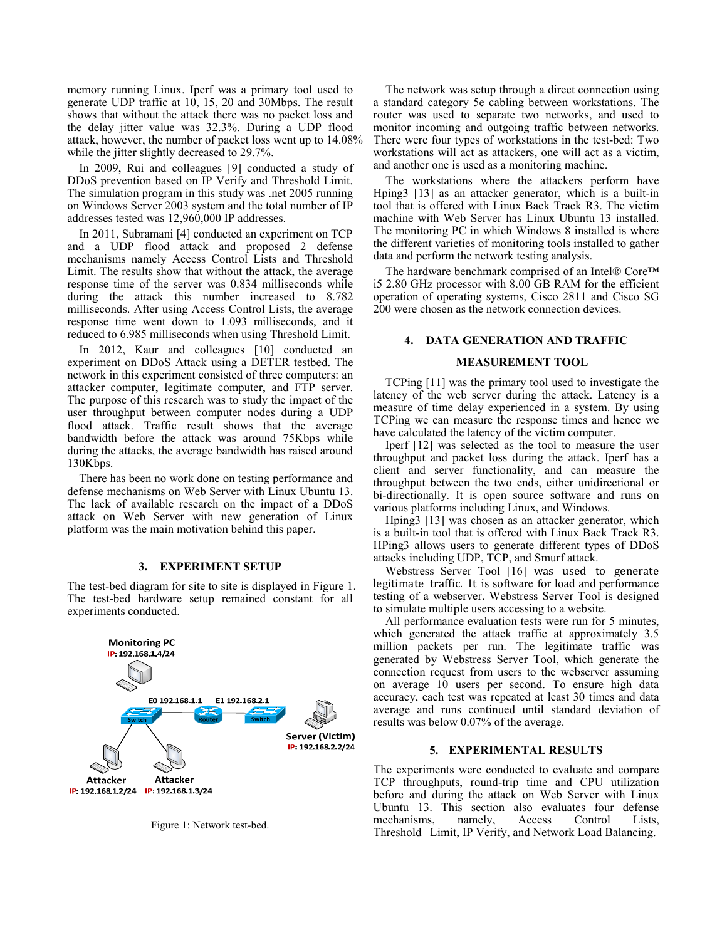memory running Linux. Iperf was a primary tool used to generate UDP traffic at 10, 15, 20 and 30Mbps. The result shows that without the attack there was no packet loss and the delay jitter value was 32.3%. During a UDP flood attack, however, the number of packet loss went up to 14.08% while the jitter slightly decreased to 29.7%.

In 2009, Rui and colleagues [9] conducted a study of DDoS prevention based on IP Verify and Threshold Limit. The simulation program in this study was .net 2005 running on Windows Server 2003 system and the total number of IP addresses tested was 12,960,000 IP addresses.

In 2011, Subramani [4] conducted an experiment on TCP and a UDP flood attack and proposed 2 defense mechanisms namely Access Control Lists and Threshold Limit. The results show that without the attack, the average response time of the server was 0.834 milliseconds while during the attack this number increased to 8.782 milliseconds. After using Access Control Lists, the average response time went down to 1.093 milliseconds, and it reduced to 6.985 milliseconds when using Threshold Limit.

In 2012, Kaur and colleagues [10] conducted an experiment on DDoS Attack using a DETER testbed. The network in this experiment consisted of three computers: an attacker computer, legitimate computer, and FTP server. The purpose of this research was to study the impact of the user throughput between computer nodes during a UDP flood attack. Traffic result shows that the average bandwidth before the attack was around 75Kbps while during the attacks, the average bandwidth has raised around 130Kbps.

There has been no work done on testing performance and defense mechanisms on Web Server with Linux Ubuntu 13. The lack of available research on the impact of a DDoS attack on Web Server with new generation of Linux platform was the main motivation behind this paper.

# **3. EXPERIMENT SETUP**

The test-bed diagram for site to site is displayed in Figure 1. The test-bed hardware setup remained constant for all experiments conducted.



Figure 1: Network test-bed.

The network was setup through a direct connection using a standard category 5e cabling between workstations. The router was used to separate two networks, and used to monitor incoming and outgoing traffic between networks. There were four types of workstations in the test-bed: Two workstations will act as attackers, one will act as a victim, and another one is used as a monitoring machine.

The workstations where the attackers perform have Hping3 [13] as an attacker generator, which is a built-in tool that is offered with Linux Back Track R3. The victim machine with Web Server has Linux Ubuntu 13 installed. The monitoring PC in which Windows 8 installed is where the different varieties of monitoring tools installed to gather data and perform the network testing analysis.

The hardware benchmark comprised of an Intel® Core™ i5 2.80 GHz processor with 8.00 GB RAM for the efficient operation of operating systems, Cisco 2811 and Cisco SG 200 were chosen as the network connection devices.

# **4. DATA GENERATION AND TRAFFIC**

### **MEASUREMENT TOOL**

TCPing [11] was the primary tool used to investigate the latency of the web server during the attack. Latency is a measure of time delay experienced in a system. By using TCPing we can measure the response times and hence we have calculated the latency of the victim computer.

Iperf [12] was selected as the tool to measure the user throughput and packet loss during the attack. Iperf has a client and server functionality, and can measure the throughput between the two ends, either unidirectional or bi-directionally. It is open source software and runs on various platforms including Linux, and Windows.

Hping3 [13] was chosen as an attacker generator, which is a built-in tool that is offered with Linux Back Track R3. HPing3 allows users to generate different types of DDoS attacks including UDP, TCP, and Smurf attack.

Webstress Server Tool [16] was used to generate legitimate traffic. It is software for load and performance testing of a webserver. Webstress Server Tool is designed to simulate multiple users accessing to a website.

All performance evaluation tests were run for 5 minutes, which generated the attack traffic at approximately 3.5 million packets per run. The legitimate traffic was generated by Webstress Server Tool, which generate the connection request from users to the webserver assuming on average 10 users per second. To ensure high data accuracy, each test was repeated at least 30 times and data average and runs continued until standard deviation of results was below 0.07% of the average.

# **5. EXPERIMENTAL RESULTS**

The experiments were conducted to evaluate and compare TCP throughputs, round-trip time and CPU utilization before and during the attack on Web Server with Linux Ubuntu 13. This section also evaluates four defense mechanisms, namely, Access Control Lists, Threshold Limit, IP Verify, and Network Load Balancing.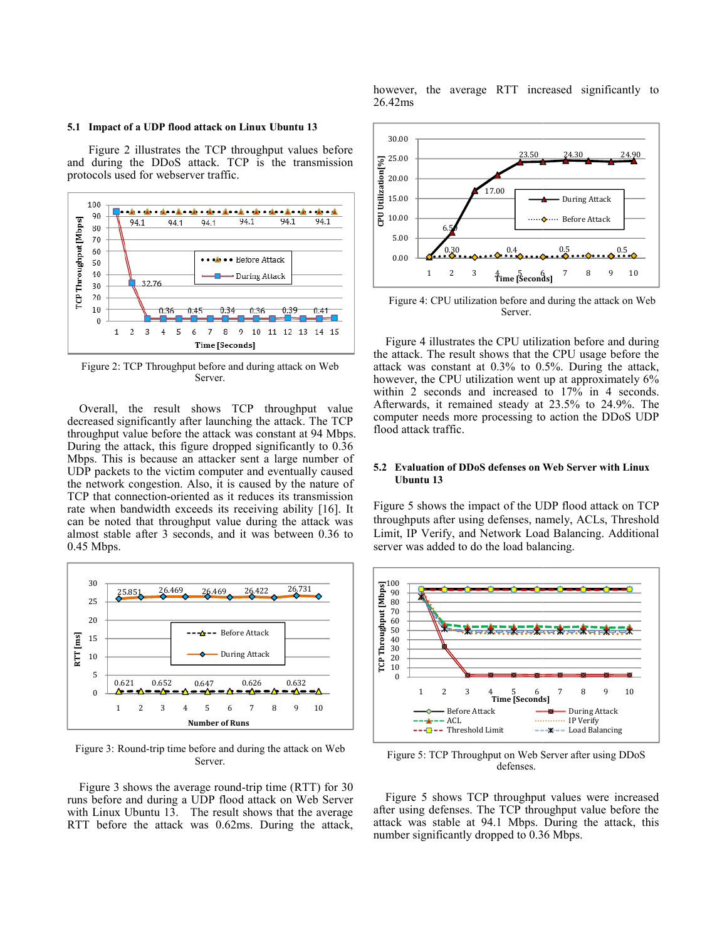#### **5.1 Impact of a UDP flood attack on Linux U Ubuntu 13**

Figure 2 illustrates the TCP throughput values before and during the DDoS attack. TCP is the transmission protocols used for webserver traffic.



Figure 2: TCP Throughput before and during attack on Web Server.

Overall, the result shows TCP th hroughput value decreased significantly after launching the attack. The TCP throughput value before the attack was constant at 94 Mbps. During the attack, this figure dropped significantly to 0.36 Mbps. This is because an attacker sent a large number of UDP packets to the victim computer and eventually caused the network congestion. Also, it is caused by the nature of TCP that connection-oriented as it reduces its transmission rate when bandwidth exceeds its receiving ability [16]. It can be noted that throughput value durin g the attack was almost stable after 3 seconds, and it was between 0.36 to 0.45 Mbps.



Figure 3: Round-trip time before and during the attack on Web Server.

Figure 3 shows the average round-trip time (RTT) for 30 runs before and during a UDP flood attack k on Web Server with Linux Ubuntu 13. The result shows that the average RTT before the attack was 0.62ms. During the attack,

however, the average RTT increased significantly to 26.42ms



Figure 4: CPU utilization before and during the attack on Web Server.

Figure 4 illustrates the CPU utiliz zation before and during the attack. The result shows that th he CPU usage before the attack was constant at 0.3% to 0. .5%. During the attack, however, the CPU utilization went up at approximately 6% within 2 seconds and increased to 17% in 4 seconds. Afterwards, it remained steady at 23.5% to 24.9%. The computer needs more processing to action the DDoS UDP flood attack traffic.

## **5.2 Evaluation of DDoS defenses on W Web Server with Linux Ubuntu 13**

Figure 5 shows the impact of the U UDP flood attack on TCP throughputs after using defenses, na amely, ACLs, Threshold Limit, IP Verify, and Network Load Balancing. Additional server was added to do the load balancing.



Figure 5: TCP Throughput on Web S Server after using DDoS defenses.

Figure 5 shows TCP throughput values were increased after using defenses. The TCP throughput value before the attack was stable at 94.1 Mbps. During the attack, this number significantly dropped to 0.3 6 Mbps.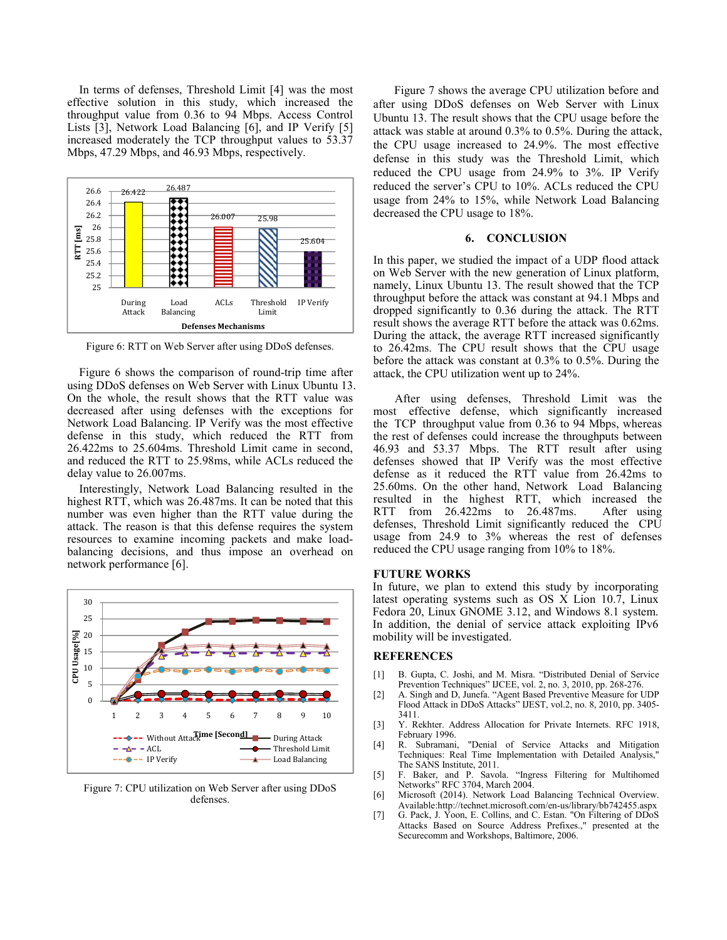In terms of defenses, Threshold Limit [4] was the most effective solution in this study, which increased the throughput value from 0.36 to 94 Mbps. Access Control Lists [3], Network Load Balancing [6], and IP Verify [5] increased moderately the TCP throughput values to 53.37 Mbps, 47.29 Mbps, and 46.93 Mbps, respectively.



Figure 6: RTT on Web Server after using DDoS defenses.

Figure 6 shows the comparison of round-trip time after using DDoS defenses on Web Server with Linux Ubuntu 13. On the whole, the result shows that the RTT value was decreased after using defenses with the exceptions for Network Load Balancing. IP Verify was the most effective defense in this study, which reduced the RTT from 26.422ms to 25.604ms. Threshold Limit came in second, and reduced the RTT to 25.98ms, while ACLs reduced the delay value to 26.007ms.

Interestingly, Network Load Balancing resulted in the highest RTT, which was 26.487ms. It can be noted that this number was even higher than the RTT value during the attack. The reason is that this defense requires the system resources to examine incoming packets and make loadbalancing decisions, and thus impose an overhead on network performance [6].



Figure 7: CPU utilization on Web Server after using DDoS defenses.

 Figure 7 shows the average CPU utilization before and after using DDoS defenses on Web Server with Linux Ubuntu 13. The result shows that the CPU usage before the attack was stable at around 0.3% to 0.5%. During the attack, the CPU usage increased to 24.9%. The most effective defense in this study was the Threshold Limit, which reduced the CPU usage from 24.9% to 3%. IP Verify reduced the server's CPU to 10%. ACLs reduced the CPU usage from 24% to 15%, while Network Load Balancing decreased the CPU usage to 18%.

# **6. CONCLUSION**

In this paper, we studied the impact of a UDP flood attack on Web Server with the new generation of Linux platform, namely, Linux Ubuntu 13. The result showed that the TCP throughput before the attack was constant at 94.1 Mbps and dropped significantly to 0.36 during the attack. The RTT result shows the average RTT before the attack was 0.62ms. During the attack, the average RTT increased significantly to 26.42ms. The CPU result shows that the CPU usage before the attack was constant at 0.3% to 0.5%. During the attack, the CPU utilization went up to 24%.

 After using defenses, Threshold Limit was the most effective defense, which significantly increased the TCP throughput value from 0.36 to 94 Mbps, whereas the rest of defenses could increase the throughputs between 46.93 and 53.37 Mbps. The RTT result after using defenses showed that IP Verify was the most effective defense as it reduced the RTT value from 26.42ms to 25.60ms. On the other hand, Network Load Balancing resulted in the highest RTT, which increased the RTT from 26.422ms to 26.487ms. After using defenses, Threshold Limit significantly reduced the CPU usage from 24.9 to 3% whereas the rest of defenses reduced the CPU usage ranging from 10% to 18%.

# **FUTURE WORKS**

In future, we plan to extend this study by incorporating latest operating systems such as OS X Lion 10.7, Linux Fedora 20, Linux GNOME 3.12, and Windows 8.1 system. In addition, the denial of service attack exploiting IPv6 mobility will be investigated.

### **REFERENCES**

- [1] B. Gupta, C. Joshi, and M. Misra. "Distributed Denial of Service Prevention Techniques" IJCEE, vol. 2, no. 3, 2010, pp. 268-276.
- [2] A. Singh and D, Junefa. "Agent Based Preventive Measure for UDP Flood Attack in DDoS Attacks" IJEST, vol.2, no. 8, 2010, pp. 3405- 3411.
- [3] Y. Rekhter. Address Allocation for Private Internets. RFC 1918, February 1996.
- [4] R. Subramani, "Denial of Service Attacks and Mitigation Techniques: Real Time Implementation with Detailed Analysis," The SANS Institute, 2011.
- [5] F. Baker, and P. Savola. "Ingress Filtering for Multihomed Networks" RFC 3704, March 2004.
- [6] Microsoft (2014). Network Load Balancing Technical Overview. Available:http://technet.microsoft.com/en-us/library/bb742455.aspx
- [7] G. Pack, J. Yoon, E. Collins, and C. Estan. "On Filtering of DDoS Attacks Based on Source Address Prefixes.," presented at the Securecomm and Workshops, Baltimore, 2006.